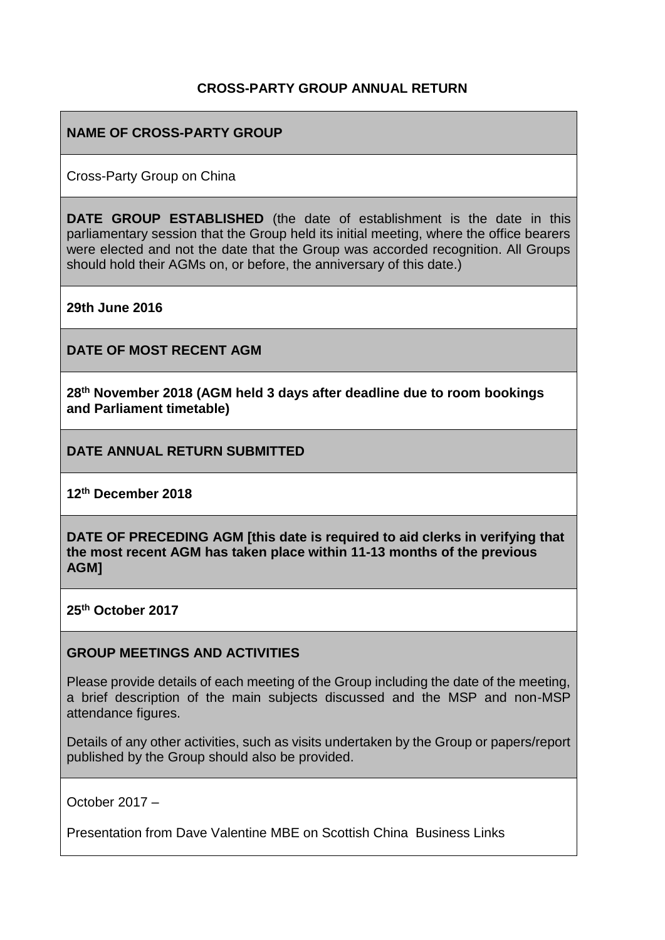### **CROSS-PARTY GROUP ANNUAL RETURN**

### **NAME OF CROSS-PARTY GROUP**

Cross-Party Group on China

**DATE GROUP ESTABLISHED** (the date of establishment is the date in this parliamentary session that the Group held its initial meeting, where the office bearers were elected and not the date that the Group was accorded recognition. All Groups should hold their AGMs on, or before, the anniversary of this date.)

**29th June 2016**

**DATE OF MOST RECENT AGM**

**28th November 2018 (AGM held 3 days after deadline due to room bookings and Parliament timetable)**

**DATE ANNUAL RETURN SUBMITTED**

**12th December 2018** 

**DATE OF PRECEDING AGM [this date is required to aid clerks in verifying that the most recent AGM has taken place within 11-13 months of the previous AGM]**

**25th October 2017** 

#### **GROUP MEETINGS AND ACTIVITIES**

Please provide details of each meeting of the Group including the date of the meeting, a brief description of the main subjects discussed and the MSP and non-MSP attendance figures.

Details of any other activities, such as visits undertaken by the Group or papers/report published by the Group should also be provided.

October 2017 –

Presentation from Dave Valentine MBE on Scottish China Business Links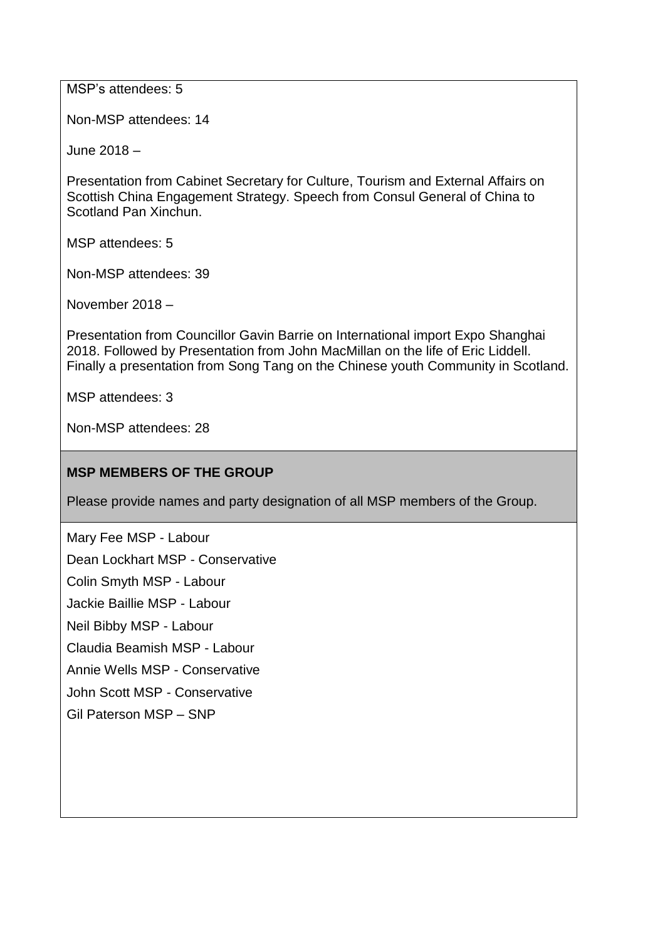MSP's attendees: 5

Non-MSP attendees: 14

June 2018 –

Presentation from Cabinet Secretary for Culture, Tourism and External Affairs on Scottish China Engagement Strategy. Speech from Consul General of China to Scotland Pan Xinchun.

MSP attendees: 5

Non-MSP attendees: 39

November 2018 –

Presentation from Councillor Gavin Barrie on International import Expo Shanghai 2018. Followed by Presentation from John MacMillan on the life of Eric Liddell. Finally a presentation from Song Tang on the Chinese youth Community in Scotland.

MSP attendees: 3

Non-MSP attendees: 28

### **MSP MEMBERS OF THE GROUP**

Please provide names and party designation of all MSP members of the Group.

Mary Fee MSP - Labour

Dean Lockhart MSP - Conservative

Colin Smyth MSP - Labour

Jackie Baillie MSP - Labour

Neil Bibby MSP - Labour

Claudia Beamish MSP - Labour

Annie Wells MSP - Conservative

John Scott MSP - Conservative

Gil Paterson MSP – SNP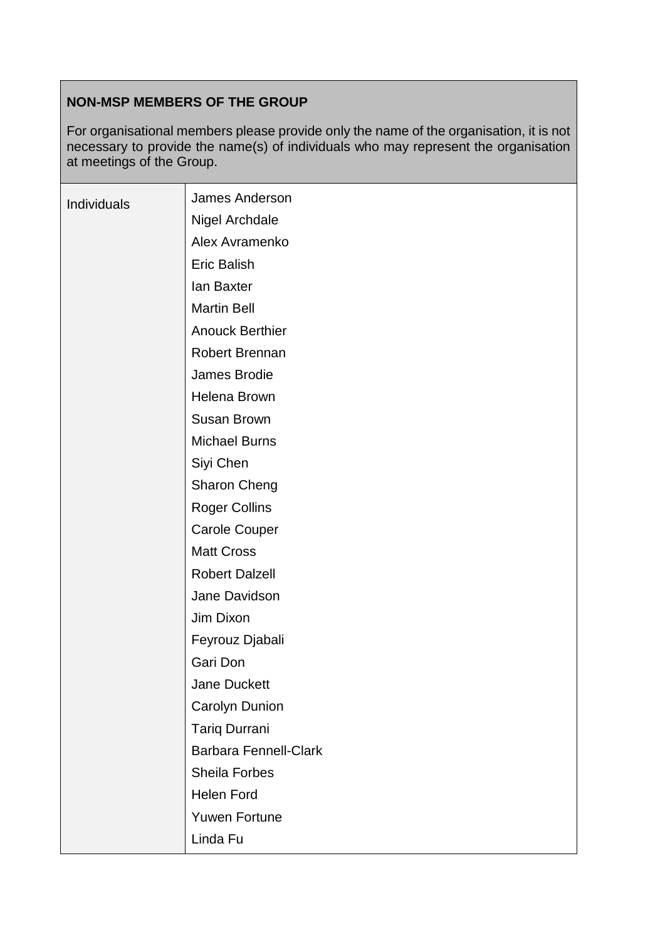# **NON-MSP MEMBERS OF THE GROUP**

For organisational members please provide only the name of the organisation, it is not necessary to provide the name(s) of individuals who may represent the organisation at meetings of the Group.

| Individuals | <b>James Anderson</b>        |
|-------------|------------------------------|
|             | Nigel Archdale               |
|             | Alex Avramenko               |
|             | <b>Eric Balish</b>           |
|             | lan Baxter                   |
|             | <b>Martin Bell</b>           |
|             | <b>Anouck Berthier</b>       |
|             | <b>Robert Brennan</b>        |
|             | James Brodie                 |
|             | Helena Brown                 |
|             | <b>Susan Brown</b>           |
|             | <b>Michael Burns</b>         |
|             | Siyi Chen                    |
|             | <b>Sharon Cheng</b>          |
|             | <b>Roger Collins</b>         |
|             | <b>Carole Couper</b>         |
|             | <b>Matt Cross</b>            |
|             | <b>Robert Dalzell</b>        |
|             | Jane Davidson                |
|             | Jim Dixon                    |
|             | Feyrouz Djabali              |
|             | Gari Don                     |
|             | Jane Duckett                 |
|             | Carolyn Dunion               |
|             | <b>Tariq Durrani</b>         |
|             | <b>Barbara Fennell-Clark</b> |
|             | Sheila Forbes                |
|             | <b>Helen Ford</b>            |
|             | <b>Yuwen Fortune</b>         |
|             | Linda Fu                     |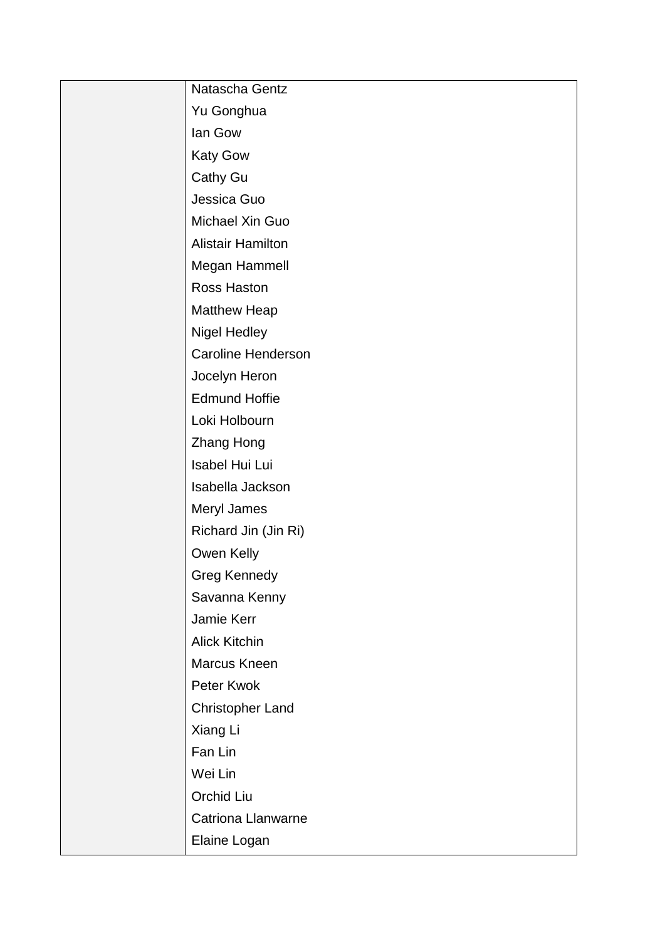| Natascha Gentz            |
|---------------------------|
| Yu Gonghua                |
| lan Gow                   |
| <b>Katy Gow</b>           |
| Cathy Gu                  |
| Jessica Guo               |
| Michael Xin Guo           |
| <b>Alistair Hamilton</b>  |
| Megan Hammell             |
| Ross Haston               |
| <b>Matthew Heap</b>       |
| <b>Nigel Hedley</b>       |
| <b>Caroline Henderson</b> |
| Jocelyn Heron             |
| <b>Edmund Hoffie</b>      |
| Loki Holbourn             |
| Zhang Hong                |
| Isabel Hui Lui            |
| Isabella Jackson          |
| Meryl James               |
| Richard Jin (Jin Ri)      |
| Owen Kelly                |
| <b>Greg Kennedy</b>       |
| Savanna Kenny             |
| Jamie Kerr                |
| <b>Alick Kitchin</b>      |
| Marcus Kneen              |
| Peter Kwok                |
| <b>Christopher Land</b>   |
| Xiang Li                  |
| Fan Lin                   |
| Wei Lin                   |
| Orchid Liu                |
| Catriona Llanwarne        |
| Elaine Logan              |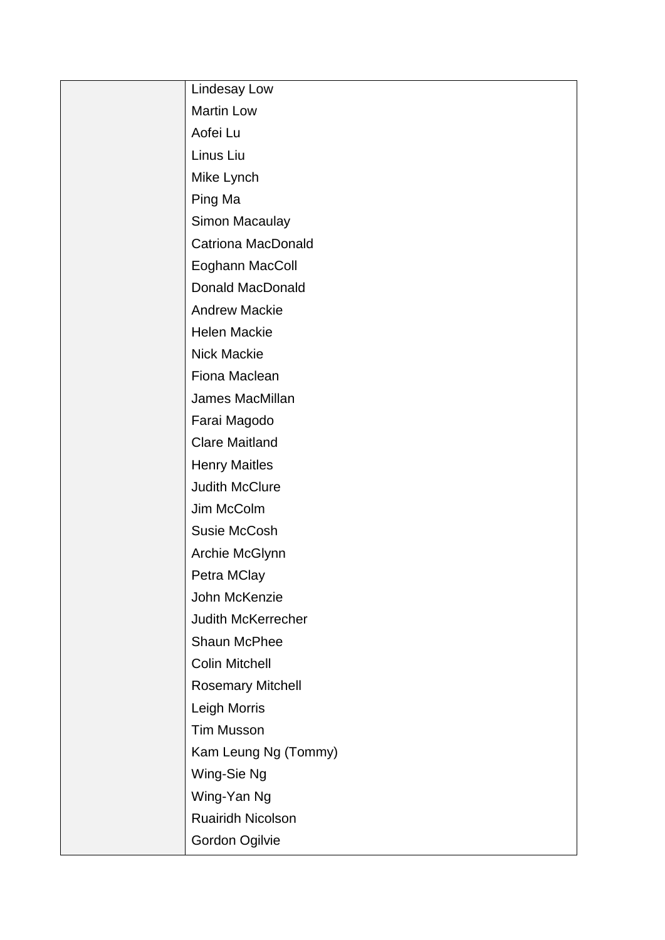| Lindesay Low              |
|---------------------------|
| <b>Martin Low</b>         |
| Aofei Lu                  |
| Linus Liu                 |
| Mike Lynch                |
| Ping Ma                   |
| Simon Macaulay            |
| <b>Catriona MacDonald</b> |
| Eoghann MacColl           |
| <b>Donald MacDonald</b>   |
| <b>Andrew Mackie</b>      |
| Helen Mackie              |
| <b>Nick Mackie</b>        |
| Fiona Maclean             |
| James MacMillan           |
| Farai Magodo              |
| <b>Clare Maitland</b>     |
| <b>Henry Maitles</b>      |
| <b>Judith McClure</b>     |
| Jim McColm                |
| Susie McCosh              |
| Archie McGlynn            |
| Petra MClay               |
| John McKenzie             |
| Judith McKerrecher        |
| Shaun McPhee              |
| <b>Colin Mitchell</b>     |
| <b>Rosemary Mitchell</b>  |
| Leigh Morris              |
| <b>Tim Musson</b>         |
| Kam Leung Ng (Tommy)      |
| Wing-Sie Ng               |
| Wing-Yan Ng               |
| Ruairidh Nicolson         |
| Gordon Ogilvie            |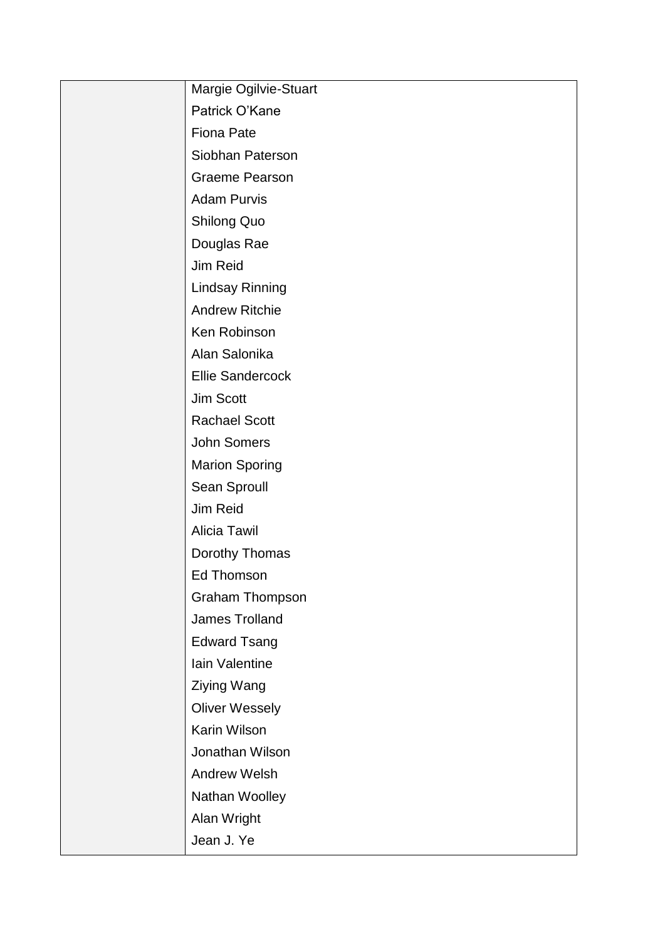| Margie Ogilvie-Stuart   |
|-------------------------|
| Patrick O'Kane          |
| <b>Fiona Pate</b>       |
| Siobhan Paterson        |
| <b>Graeme Pearson</b>   |
| <b>Adam Purvis</b>      |
| <b>Shilong Quo</b>      |
| Douglas Rae             |
| Jim Reid                |
| <b>Lindsay Rinning</b>  |
| <b>Andrew Ritchie</b>   |
| Ken Robinson            |
| Alan Salonika           |
| <b>Ellie Sandercock</b> |
| Jim Scott               |
| <b>Rachael Scott</b>    |
| John Somers             |
| <b>Marion Sporing</b>   |
| Sean Sproull            |
| Jim Reid                |
| <b>Alicia Tawil</b>     |
| Dorothy Thomas          |
| Ed Thomson              |
| <b>Graham Thompson</b>  |
| James Trolland          |
| <b>Edward Tsang</b>     |
| Iain Valentine          |
| Ziying Wang             |
| <b>Oliver Wessely</b>   |
| Karin Wilson            |
| Jonathan Wilson         |
| <b>Andrew Welsh</b>     |
| Nathan Woolley          |
| Alan Wright             |
| Jean J. Ye              |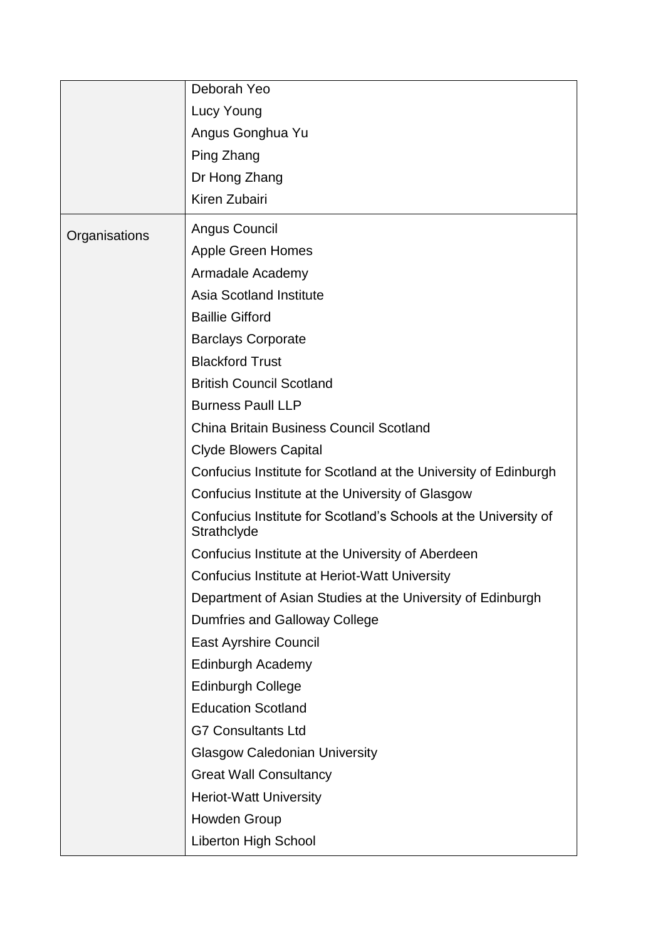|               | Deborah Yeo                                                                    |
|---------------|--------------------------------------------------------------------------------|
|               | Lucy Young                                                                     |
|               | Angus Gonghua Yu                                                               |
|               | Ping Zhang                                                                     |
|               | Dr Hong Zhang                                                                  |
|               | Kiren Zubairi                                                                  |
| Organisations | Angus Council                                                                  |
|               | <b>Apple Green Homes</b>                                                       |
|               | Armadale Academy                                                               |
|               | <b>Asia Scotland Institute</b>                                                 |
|               | <b>Baillie Gifford</b>                                                         |
|               | <b>Barclays Corporate</b>                                                      |
|               | <b>Blackford Trust</b>                                                         |
|               | <b>British Council Scotland</b>                                                |
|               | <b>Burness Paull LLP</b>                                                       |
|               | <b>China Britain Business Council Scotland</b>                                 |
|               | <b>Clyde Blowers Capital</b>                                                   |
|               | Confucius Institute for Scotland at the University of Edinburgh                |
|               | Confucius Institute at the University of Glasgow                               |
|               | Confucius Institute for Scotland's Schools at the University of<br>Strathclyde |
|               | Confucius Institute at the University of Aberdeen                              |
|               | Confucius Institute at Heriot-Watt University                                  |
|               | Department of Asian Studies at the University of Edinburgh                     |
|               | Dumfries and Galloway College                                                  |
|               | <b>East Ayrshire Council</b>                                                   |
|               | Edinburgh Academy                                                              |
|               | <b>Edinburgh College</b>                                                       |
|               | <b>Education Scotland</b>                                                      |
|               | <b>G7 Consultants Ltd</b>                                                      |
|               | <b>Glasgow Caledonian University</b>                                           |
|               | <b>Great Wall Consultancy</b>                                                  |
|               | <b>Heriot-Watt University</b>                                                  |
|               | Howden Group                                                                   |
|               | <b>Liberton High School</b>                                                    |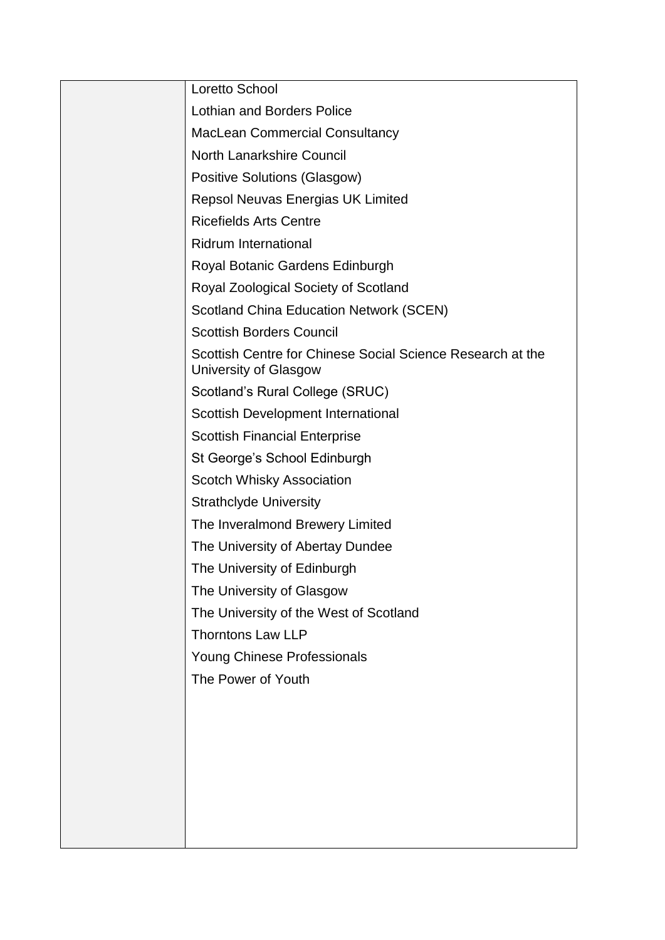| Loretto School                                                                      |
|-------------------------------------------------------------------------------------|
| <b>Lothian and Borders Police</b>                                                   |
| <b>MacLean Commercial Consultancy</b>                                               |
| <b>North Lanarkshire Council</b>                                                    |
| <b>Positive Solutions (Glasgow)</b>                                                 |
| <b>Repsol Neuvas Energias UK Limited</b>                                            |
| <b>Ricefields Arts Centre</b>                                                       |
| <b>Ridrum International</b>                                                         |
| Royal Botanic Gardens Edinburgh                                                     |
| Royal Zoological Society of Scotland                                                |
| <b>Scotland China Education Network (SCEN)</b>                                      |
| <b>Scottish Borders Council</b>                                                     |
| Scottish Centre for Chinese Social Science Research at the<br>University of Glasgow |
| Scotland's Rural College (SRUC)                                                     |
| Scottish Development International                                                  |
| <b>Scottish Financial Enterprise</b>                                                |
| St George's School Edinburgh                                                        |
| <b>Scotch Whisky Association</b>                                                    |
| <b>Strathclyde University</b>                                                       |
| The Inveralmond Brewery Limited                                                     |
| The University of Abertay Dundee                                                    |
| The University of Edinburgh                                                         |
| The University of Glasgow                                                           |
| The University of the West of Scotland                                              |
| <b>Thorntons Law LLP</b>                                                            |
| Young Chinese Professionals                                                         |
| The Power of Youth                                                                  |
|                                                                                     |
|                                                                                     |
|                                                                                     |
|                                                                                     |
|                                                                                     |
|                                                                                     |
|                                                                                     |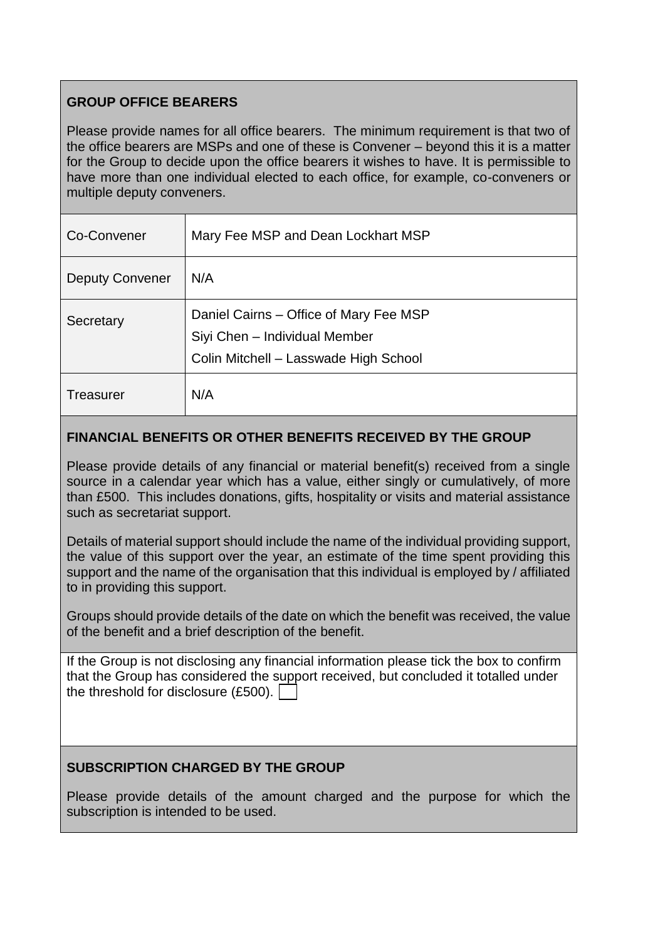## **GROUP OFFICE BEARERS**

Please provide names for all office bearers. The minimum requirement is that two of the office bearers are MSPs and one of these is Convener – beyond this it is a matter for the Group to decide upon the office bearers it wishes to have. It is permissible to have more than one individual elected to each office, for example, co-conveners or multiple deputy conveners.

| Co-Convener            | Mary Fee MSP and Dean Lockhart MSP                                                                               |
|------------------------|------------------------------------------------------------------------------------------------------------------|
| <b>Deputy Convener</b> | N/A                                                                                                              |
| Secretary              | Daniel Cairns – Office of Mary Fee MSP<br>Siyi Chen - Individual Member<br>Colin Mitchell - Lasswade High School |
| <b>Treasurer</b>       | N/A                                                                                                              |

### **FINANCIAL BENEFITS OR OTHER BENEFITS RECEIVED BY THE GROUP**

Please provide details of any financial or material benefit(s) received from a single source in a calendar year which has a value, either singly or cumulatively, of more than £500. This includes donations, gifts, hospitality or visits and material assistance such as secretariat support.

Details of material support should include the name of the individual providing support, the value of this support over the year, an estimate of the time spent providing this support and the name of the organisation that this individual is employed by / affiliated to in providing this support.

Groups should provide details of the date on which the benefit was received, the value of the benefit and a brief description of the benefit.

If the Group is not disclosing any financial information please tick the box to confirm that the Group has considered the support received, but concluded it totalled under the threshold for disclosure (£500).

## **SUBSCRIPTION CHARGED BY THE GROUP**

Please provide details of the amount charged and the purpose for which the subscription is intended to be used.